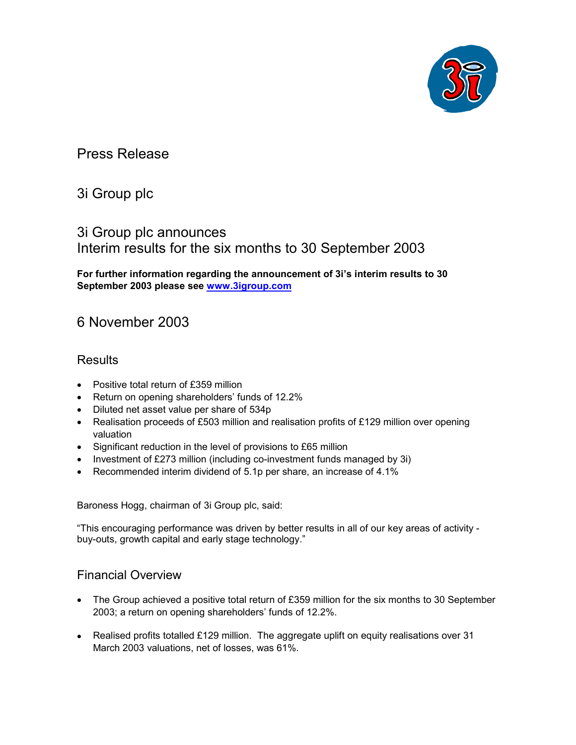

# Press Release

# 3i Group plc

# 3i Group plc announces Interim results for the six months to 30 September 2003

**For further information regarding the announcement of 3i's interim results to 30 September 2003 please see www.3igroup.com**

# 6 November 2003

### **Results**

- Positive total return of £359 million
- Return on opening shareholders' funds of 12.2%
- Diluted net asset value per share of 534p
- Realisation proceeds of £503 million and realisation profits of £129 million over opening valuation
- Significant reduction in the level of provisions to £65 million
- $\bullet$ Investment of £273 million (including co-investment funds managed by 3i)
- -Recommended interim dividend of 5.1p per share, an increase of 4.1%

Baroness Hogg, chairman of 3i Group plc, said:

"This encouraging performance was driven by better results in all of our key areas of activity buy-outs, growth capital and early stage technology."

### Financial Overview

- The Group achieved a positive total return of £359 million for the six months to 30 September 2003; a return on opening shareholders' funds of 12.2%.
- Realised profits totalled £129 million. The aggregate uplift on equity realisations over 31 March 2003 valuations, net of losses, was 61%.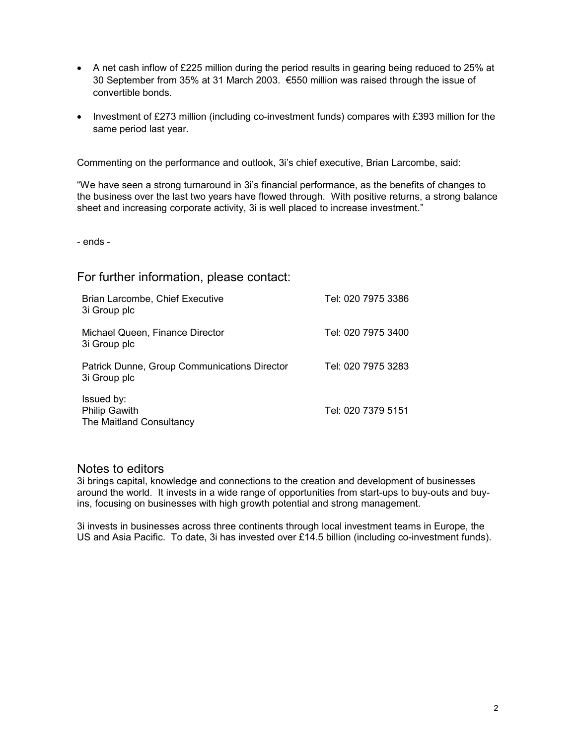- A net cash inflow of £225 million during the period results in gearing being reduced to 25% at 30 September from 35% at 31 March 2003. €550 million was raised through the issue of convertible bonds.
- Investment of £273 million (including co-investment funds) compares with £393 million for the same period last year.

Commenting on the performance and outlook, 3i's chief executive, Brian Larcombe, said:

"We have seen a strong turnaround in 3i's financial performance, as the benefits of changes to the business over the last two years have flowed through. With positive returns, a strong balance sheet and increasing corporate activity, 3i is well placed to increase investment."

- ends -

For further information, please contact:

| Brian Larcombe, Chief Executive<br>3i Group plc                | Tel: 020 7975 3386 |
|----------------------------------------------------------------|--------------------|
| Michael Queen, Finance Director<br>3i Group plc                | Tel: 020 7975 3400 |
| Patrick Dunne, Group Communications Director<br>3i Group plc   | Tel: 020 7975 3283 |
| Issued by:<br><b>Philip Gawith</b><br>The Maitland Consultancy | Tel: 020 7379 5151 |

### Notes to editors

3i brings capital, knowledge and connections to the creation and development of businesses around the world. It invests in a wide range of opportunities from start-ups to buy-outs and buyins, focusing on businesses with high growth potential and strong management.

3i invests in businesses across three continents through local investment teams in Europe, the US and Asia Pacific. To date, 3i has invested over £14.5 billion (including co-investment funds).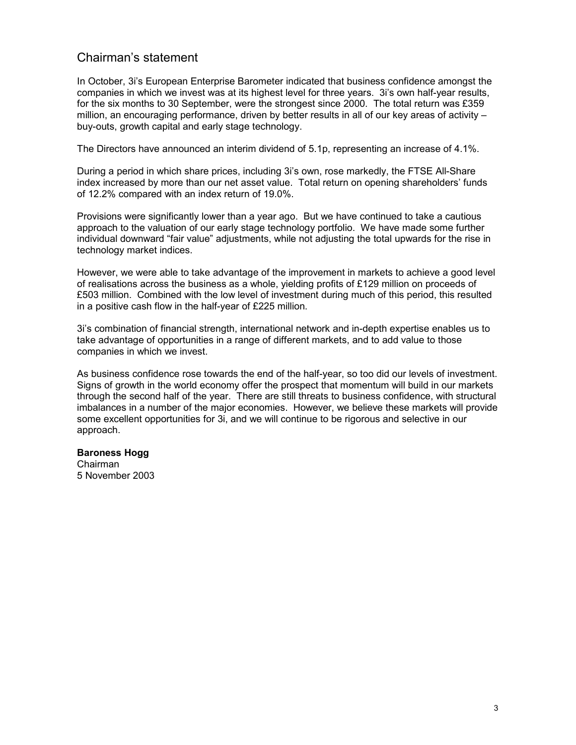### Chairman's statement

In October, 3i's European Enterprise Barometer indicated that business confidence amongst the companies in which we invest was at its highest level for three years. 3i's own half-year results, for the six months to 30 September, were the strongest since 2000. The total return was £359 million, an encouraging performance, driven by better results in all of our key areas of activity buy-outs, growth capital and early stage technology.

The Directors have announced an interim dividend of 5.1p, representing an increase of 4.1%.

During a period in which share prices, including 3i's own, rose markedly, the FTSE All-Share index increased by more than our net asset value. Total return on opening shareholders' funds of 12.2% compared with an index return of 19.0%.

Provisions were significantly lower than a year ago. But we have continued to take a cautious approach to the valuation of our early stage technology portfolio. We have made some further individual downward "fair value" adjustments, while not adjusting the total upwards for the rise in technology market indices.

However, we were able to take advantage of the improvement in markets to achieve a good level of realisations across the business as a whole, yielding profits of £129 million on proceeds of £503 million. Combined with the low level of investment during much of this period, this resulted in a positive cash flow in the half-year of £225 million.

3i's combination of financial strength, international network and in-depth expertise enables us to take advantage of opportunities in a range of different markets, and to add value to those companies in which we invest.

As business confidence rose towards the end of the half-year, so too did our levels of investment. Signs of growth in the world economy offer the prospect that momentum will build in our markets through the second half of the year. There are still threats to business confidence, with structural imbalances in a number of the major economies. However, we believe these markets will provide some excellent opportunities for 3i, and we will continue to be rigorous and selective in our approach.

### **Baroness Hogg**

Chairman 5 November 2003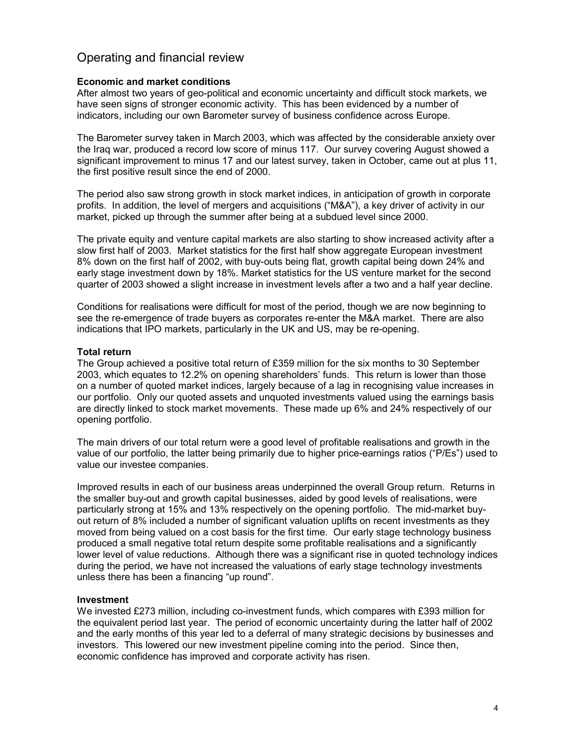### Operating and financial review

#### **Economic and market conditions**

After almost two years of geo-political and economic uncertainty and difficult stock markets, we have seen signs of stronger economic activity. This has been evidenced by a number of indicators, including our own Barometer survey of business confidence across Europe.

The Barometer survey taken in March 2003, which was affected by the considerable anxiety over the Iraq war, produced a record low score of minus 117. Our survey covering August showed a significant improvement to minus 17 and our latest survey, taken in October, came out at plus 11, the first positive result since the end of 2000.

The period also saw strong growth in stock market indices, in anticipation of growth in corporate profits. In addition, the level of mergers and acquisitions ("M&A"), a key driver of activity in our market, picked up through the summer after being at a subdued level since 2000.

The private equity and venture capital markets are also starting to show increased activity after a slow first half of 2003. Market statistics for the first half show aggregate European investment 8% down on the first half of 2002, with buy-outs being flat, growth capital being down 24% and early stage investment down by 18%. Market statistics for the US venture market for the second quarter of 2003 showed a slight increase in investment levels after a two and a half year decline.

Conditions for realisations were difficult for most of the period, though we are now beginning to see the re-emergence of trade buyers as corporates re-enter the M&A market. There are also indications that IPO markets, particularly in the UK and US, may be re-opening.

### **Total return**

The Group achieved a positive total return of £359 million for the six months to 30 September 2003, which equates to 12.2% on opening shareholders' funds. This return is lower than those on a number of quoted market indices, largely because of a lag in recognising value increases in our portfolio. Only our quoted assets and unquoted investments valued using the earnings basis are directly linked to stock market movements. These made up 6% and 24% respectively of our opening portfolio.

The main drivers of our total return were a good level of profitable realisations and growth in the value of our portfolio, the latter being primarily due to higher price-earnings ratios ("P/Es") used to value our investee companies.

Improved results in each of our business areas underpinned the overall Group return. Returns in the smaller buy-out and growth capital businesses, aided by good levels of realisations, were particularly strong at 15% and 13% respectively on the opening portfolio. The mid-market buyout return of 8% included a number of significant valuation uplifts on recent investments as they moved from being valued on a cost basis for the first time. Our early stage technology business produced a small negative total return despite some profitable realisations and a significantly lower level of value reductions. Although there was a significant rise in quoted technology indices during the period, we have not increased the valuations of early stage technology investments unless there has been a financing "up round".

#### **Investment**

We invested £273 million, including co-investment funds, which compares with £393 million for the equivalent period last year. The period of economic uncertainty during the latter half of 2002 and the early months of this year led to a deferral of many strategic decisions by businesses and investors. This lowered our new investment pipeline coming into the period. Since then, economic confidence has improved and corporate activity has risen.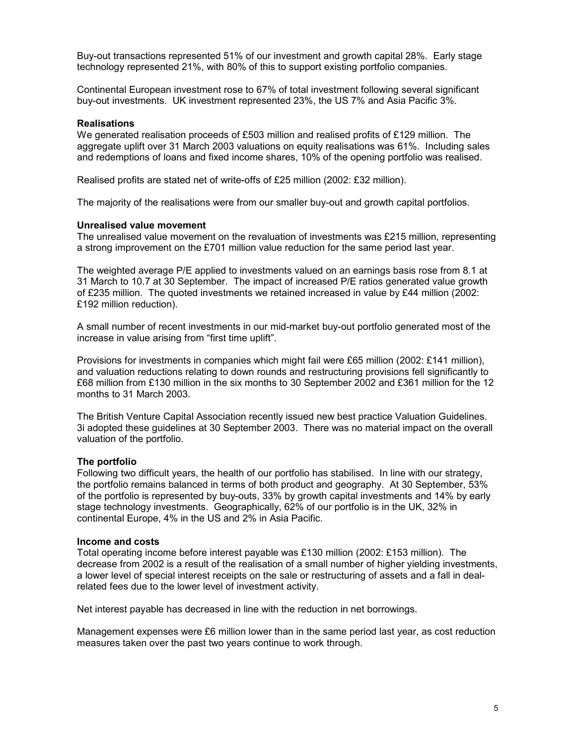Buy-out transactions represented 51% of our investment and growth capital 28%. Early stage technology represented 21%, with 80% of this to support existing portfolio companies.

Continental European investment rose to 67% of total investment following several significant buy-out investments. UK investment represented 23%, the US 7% and Asia Pacific 3%.

#### **Realisations**

We generated realisation proceeds of £503 million and realised profits of £129 million. The aggregate uplift over 31 March 2003 valuations on equity realisations was 61%. Including sales and redemptions of loans and fixed income shares, 10% of the opening portfolio was realised.

Realised profits are stated net of write-offs of £25 million (2002: £32 million).

The majority of the realisations were from our smaller buy-out and growth capital portfolios.

#### **Unrealised value movement**

The unrealised value movement on the revaluation of investments was £215 million, representing a strong improvement on the £701 million value reduction for the same period last year.

The weighted average P/E applied to investments valued on an earnings basis rose from 8.1 at 31 March to 10.7 at 30 September. The impact of increased P/E ratios generated value growth of £235 million. The quoted investments we retained increased in value by £44 million (2002: £192 million reduction).

A small number of recent investments in our mid-market buy-out portfolio generated most of the increase in value arising from "first time uplift".

Provisions for investments in companies which might fail were £65 million (2002: £141 million), and valuation reductions relating to down rounds and restructuring provisions fell significantly to £68 million from £130 million in the six months to 30 September 2002 and £361 million for the 12 months to 31 March 2003.

The British Venture Capital Association recently issued new best practice Valuation Guidelines. 3i adopted these guidelines at 30 September 2003. There was no material impact on the overall valuation of the portfolio.

#### **The portfolio**

Following two difficult years, the health of our portfolio has stabilised. In line with our strategy, the portfolio remains balanced in terms of both product and geography. At 30 September, 53% of the portfolio is represented by buy-outs, 33% by growth capital investments and 14% by early stage technology investments. Geographically, 62% of our portfolio is in the UK, 32% in continental Europe, 4% in the US and 2% in Asia Pacific.

#### **Income and costs**

Total operating income before interest payable was £130 million (2002: £153 million). The decrease from 2002 is a result of the realisation of a small number of higher yielding investments, a lower level of special interest receipts on the sale or restructuring of assets and a fall in dealrelated fees due to the lower level of investment activity.

Net interest payable has decreased in line with the reduction in net borrowings.

Management expenses were £6 million lower than in the same period last year, as cost reduction measures taken over the past two years continue to work through.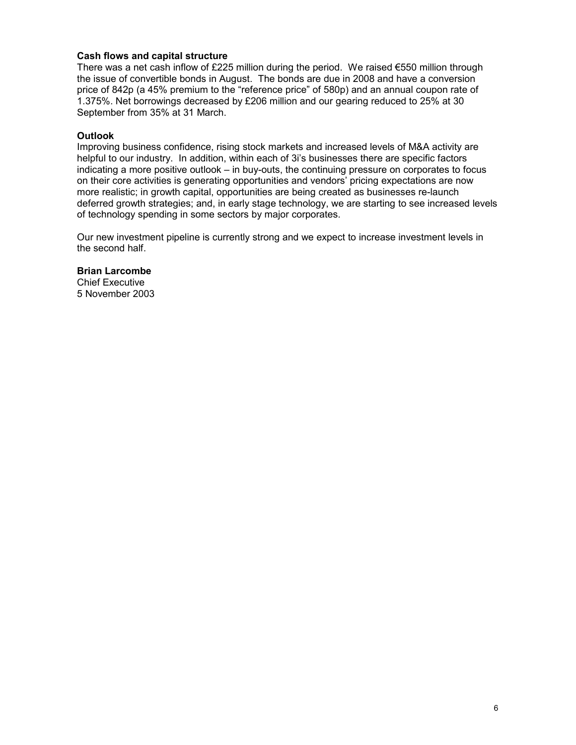### **Cash flows and capital structure**

There was a net cash inflow of £225 million during the period. We raised €550 million through the issue of convertible bonds in August. The bonds are due in 2008 and have a conversion price of 842p (a 45% premium to the "reference price" of 580p) and an annual coupon rate of 1.375%. Net borrowings decreased by £206 million and our gearing reduced to 25% at 30 September from 35% at 31 March.

### **Outlook**

Improving business confidence, rising stock markets and increased levels of M&A activity are helpful to our industry. In addition, within each of 3i's businesses there are specific factors indicating a more positive outlook – in buy-outs, the continuing pressure on corporates to focus on their core activities is generating opportunities and vendors' pricing expectations are now more realistic; in growth capital, opportunities are being created as businesses re-launch deferred growth strategies; and, in early stage technology, we are starting to see increased levels of technology spending in some sectors by major corporates.

Our new investment pipeline is currently strong and we expect to increase investment levels in the second half.

#### **Brian Larcombe**

Chief Executive 5 November 2003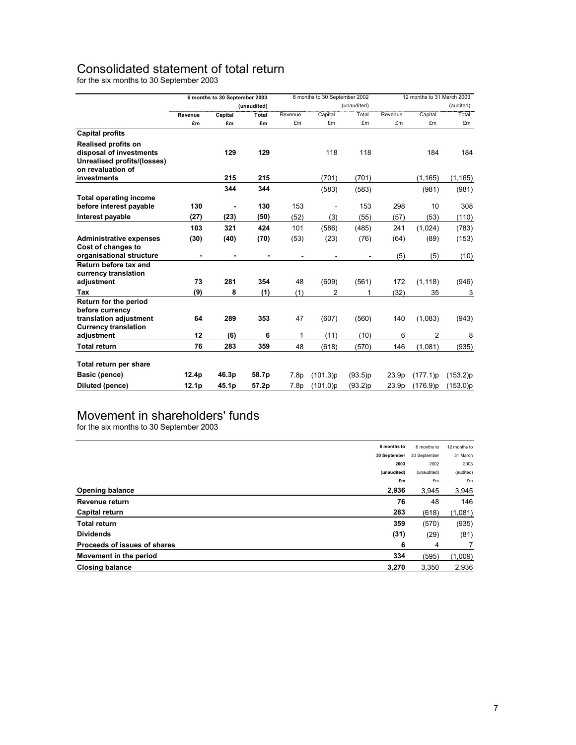## Consolidated statement of total return

for the six months to 30 September 2003

|                                           |                   | 6 months to 30 September 2003 |             | 6 months to 30 September 2002 |                | 12 months to 31 March 2003 |                   |             |           |
|-------------------------------------------|-------------------|-------------------------------|-------------|-------------------------------|----------------|----------------------------|-------------------|-------------|-----------|
|                                           |                   |                               | (unaudited) |                               | (unaudited)    |                            |                   |             | (audited) |
|                                           | Revenue           | Capital                       | Total       | Revenue                       | Capital        | Total                      | Revenue           | Capital     | Total     |
|                                           | £m                | £m                            | £m          | £m                            | £m             | £m                         | £m                | £m          | £m        |
| <b>Capital profits</b>                    |                   |                               |             |                               |                |                            |                   |             |           |
| Realised profits on                       |                   |                               |             |                               |                |                            |                   |             |           |
| disposal of investments                   |                   | 129                           | 129         |                               | 118            | 118                        |                   | 184         | 184       |
| Unrealised profits/(losses)               |                   |                               |             |                               |                |                            |                   |             |           |
| on revaluation of                         |                   |                               |             |                               |                |                            |                   |             |           |
| investments                               |                   | 215                           | 215         |                               | (701)          | (701)                      |                   | (1, 165)    | (1, 165)  |
|                                           |                   | 344                           | 344         |                               | (583)          | (583)                      |                   | (981)       | (981)     |
| <b>Total operating income</b>             |                   |                               |             |                               |                |                            |                   |             |           |
| before interest payable                   | 130               |                               | 130         | 153                           |                | 153                        | 298               | 10          | 308       |
| Interest payable                          | (27)              | (23)                          | (50)        | (52)                          | (3)            | (55)                       | (57)              | (53)        | (110)     |
|                                           | 103               | 321                           | 424         | 101                           | (586)          | (485)                      | 241               | (1,024)     | (783)     |
| <b>Administrative expenses</b>            | (30)              | (40)                          | (70)        | (53)                          | (23)           | (76)                       | (64)              | (89)        | (153)     |
| Cost of changes to                        |                   |                               |             |                               |                |                            |                   |             |           |
| organisational structure                  |                   |                               |             |                               |                |                            | (5)               | (5)         | (10)      |
| Return before tax and                     |                   |                               |             |                               |                |                            |                   |             |           |
| currency translation                      |                   |                               |             |                               |                |                            |                   |             |           |
| adjustment                                | 73                | 281                           | 354         | 48                            | (609)          | (561)                      | 172               | (1, 118)    | (946)     |
| Tax                                       | (9)               | 8                             | (1)         | (1)                           | $\overline{2}$ | 1                          | (32)              | 35          | 3         |
| Return for the period                     |                   |                               |             |                               |                |                            |                   |             |           |
| before currency<br>translation adjustment | 64                | 289                           | 353         | 47                            | (607)          | (560)                      | 140               | (1,083)     | (943)     |
| <b>Currency translation</b>               |                   |                               |             |                               |                |                            |                   |             |           |
| adjustment                                | 12                | (6)                           | 6           | 1                             | (11)           | (10)                       | 6                 | 2           | 8         |
| <b>Total return</b>                       | 76                | 283                           | 359         | 48                            | (618)          | (570)                      | 146               | (1,081)     | (935)     |
|                                           |                   |                               |             |                               |                |                            |                   |             |           |
| Total return per share                    |                   |                               |             |                               |                |                            |                   |             |           |
| Basic (pence)                             | 12.4 <sub>p</sub> | 46.3p                         | 58.7p       | 7.8p                          | (101.3)p       | (93.5)p                    | 23.9 <sub>p</sub> | (177.1)p    | (153.2)p  |
| Diluted (pence)                           | 12.1 <sub>p</sub> | 45.1p                         | 57.2p       | 7.8p                          | (101.0)p       | (93.2)p                    | 23.9p             | $(176.9)$ p | (153.0)p  |

## Movement in shareholders' funds

for the six months to 30 September 2003

|                              | 6 months to  | 6 months to  | 12 months to |
|------------------------------|--------------|--------------|--------------|
|                              | 30 September | 30 September | 31 March     |
|                              | 2003         | 2002         | 2003         |
|                              | (unaudited)  | (unaudited)  | (audited)    |
|                              | £m           | £m           | £m           |
| <b>Opening balance</b>       | 2,936        | 3,945        | 3,945        |
| Revenue return               | 76           | 48           | 146          |
| Capital return               | 283          | (618)        | (1,081)      |
| <b>Total return</b>          | 359          | (570)        | (935)        |
| <b>Dividends</b>             | (31)         | (29)         | (81)         |
| Proceeds of issues of shares | 6            | 4            | 7            |
| Movement in the period       | 334          | (595)        | (1,009)      |
| <b>Closing balance</b>       | 3,270        | 3.350        | 2,936        |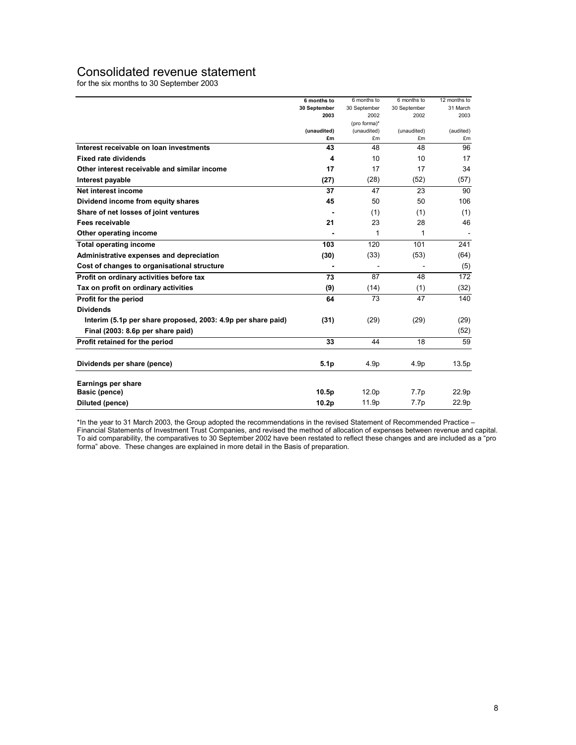### Consolidated revenue statement

for the six months to 30 September 2003

|                                                              | 6 months to       | 6 months to          | 6 months to  | 12 months to |
|--------------------------------------------------------------|-------------------|----------------------|--------------|--------------|
|                                                              | 30 September      | 30 September         | 30 September | 31 March     |
|                                                              | 2003              | 2002<br>(pro forma)* | 2002         | 2003         |
|                                                              | (unaudited)       | (unaudited)          | (unaudited)  | (audited)    |
|                                                              | £m                | £m                   | £m           | £m           |
| Interest receivable on loan investments                      | 43                | 48                   | 48           | 96           |
| <b>Fixed rate dividends</b>                                  | 4                 | 10                   | 10           | 17           |
| Other interest receivable and similar income                 | 17                | 17                   | 17           | 34           |
| Interest payable                                             | (27)              | (28)                 | (52)         | (57)         |
| Net interest income                                          | 37                | 47                   | 23           | 90           |
| Dividend income from equity shares                           | 45                | 50                   | 50           | 106          |
| Share of net losses of joint ventures                        |                   | (1)                  | (1)          | (1)          |
| Fees receivable                                              | 21                | 23                   | 28           | 46           |
| Other operating income                                       |                   | 1                    | 1            |              |
| <b>Total operating income</b>                                | 103               | 120                  | 101          | 241          |
| Administrative expenses and depreciation                     | (30)              | (33)                 | (53)         | (64)         |
| Cost of changes to organisational structure                  |                   |                      |              | (5)          |
| Profit on ordinary activities before tax                     | 73                | 87                   | 48           | 172          |
| Tax on profit on ordinary activities                         | (9)               | (14)                 | (1)          | (32)         |
| Profit for the period                                        | 64                | 73                   | 47           | 140          |
| <b>Dividends</b>                                             |                   |                      |              |              |
| Interim (5.1p per share proposed, 2003: 4.9p per share paid) | (31)              | (29)                 | (29)         | (29)         |
| Final (2003: 8.6p per share paid)                            |                   |                      |              | (52)         |
| Profit retained for the period                               | 33                | 44                   | 18           | 59           |
| Dividends per share (pence)                                  | 5.1 <sub>p</sub>  | 4.9p                 | 4.9p         | 13.5p        |
| Earnings per share                                           |                   |                      |              |              |
| Basic (pence)                                                | 10.5 <sub>p</sub> | 12.0 <sub>p</sub>    | 7.7p         | 22.9p        |
| Diluted (pence)                                              | 10.2 <sub>p</sub> | 11.9p                | 7.7p         | 22.9p        |

\*In the year to 31 March 2003, the Group adopted the recommendations in the revised Statement of Recommended Practice – Financial Statements of Investment Trust Companies, and revised the method of allocation of expenses between revenue and capital. To aid comparability, the comparatives to 30 September 2002 have been restated to reflect these changes and are included as a "pro forma" above. These changes are explained in more detail in the Basis of preparation.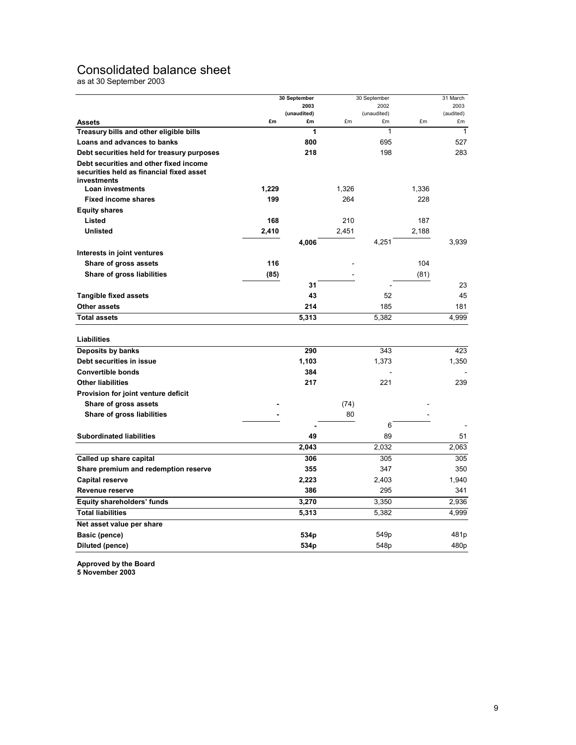### Consolidated balance sheet

as at 30 September 2003

|                                            |       | 30 September      |       | 30 September      |       | 31 March         |
|--------------------------------------------|-------|-------------------|-------|-------------------|-------|------------------|
|                                            |       | 2003              |       | 2002              | 2003  |                  |
| <b>Assets</b>                              | £m    | (unaudited)<br>£m | £m    | (unaudited)<br>£m | £m    | (audited)<br>£m  |
| Treasury bills and other eligible bills    |       | 1                 |       | 1                 |       | $\mathbf{1}$     |
| <b>Loans and advances to banks</b>         |       | 800               |       | 695               |       | 527              |
| Debt securities held for treasury purposes |       | 218               |       | 198               |       | 283              |
| Debt securities and other fixed income     |       |                   |       |                   |       |                  |
| securities held as financial fixed asset   |       |                   |       |                   |       |                  |
| investments                                |       |                   |       |                   |       |                  |
| Loan investments                           | 1,229 |                   | 1,326 |                   | 1,336 |                  |
| <b>Fixed income shares</b>                 | 199   |                   | 264   |                   | 228   |                  |
| <b>Equity shares</b>                       |       |                   |       |                   |       |                  |
| Listed                                     | 168   |                   | 210   |                   | 187   |                  |
| <b>Unlisted</b>                            | 2,410 |                   | 2,451 |                   | 2,188 |                  |
|                                            |       | 4,006             |       | 4,251             |       | 3,939            |
| Interests in joint ventures                |       |                   |       |                   |       |                  |
| Share of gross assets                      | 116   |                   |       |                   | 104   |                  |
| Share of gross liabilities                 | (85)  |                   |       |                   | (81)  |                  |
|                                            |       | 31                |       |                   |       | 23               |
| <b>Tangible fixed assets</b>               |       | 43                |       | 52                |       | 45               |
| Other assets                               |       | 214               |       | 185               |       | 181              |
| <b>Total assets</b>                        |       | 5,313             |       | 5,382             |       | 4,999            |
|                                            |       |                   |       |                   |       |                  |
| Liabilities                                |       |                   |       |                   |       |                  |
| Deposits by banks                          |       | 290               |       | 343               |       | 423              |
| Debt securities in issue                   |       | 1,103             |       | 1,373             |       | 1,350            |
| <b>Convertible bonds</b>                   |       | 384               |       |                   |       |                  |
| <b>Other liabilities</b>                   |       | 217               |       | 221               |       | 239              |
| Provision for joint venture deficit        |       |                   |       |                   |       |                  |
| Share of gross assets                      |       |                   | (74)  |                   |       |                  |
| Share of gross liabilities                 |       |                   | 80    |                   |       |                  |
|                                            |       |                   |       | 6                 |       |                  |
| <b>Subordinated liabilities</b>            |       | 49                |       | 89                |       | 51               |
|                                            |       | 2,043             |       | 2,032             |       | 2,063            |
| Called up share capital                    |       | 306               |       | 305               |       | 305              |
| Share premium and redemption reserve       |       | 355               |       | 347               |       | 350              |
| Capital reserve                            |       | 2,223             |       | 2,403             |       | 1,940            |
| Revenue reserve                            |       | 386               |       | 295               |       | 341              |
| Equity shareholders' funds                 |       | 3,270             |       | 3,350             |       | 2,936            |
| <b>Total liabilities</b>                   |       | 5,313             |       | 5,382             |       | 4,999            |
| Net asset value per share                  |       |                   |       |                   |       |                  |
| Basic (pence)                              |       | 534 <sub>p</sub>  |       | 549p              |       | 481p             |
| Diluted (pence)                            |       | 534 <sub>p</sub>  |       | 548p              |       | 480 <sub>p</sub> |
|                                            |       |                   |       |                   |       |                  |

**Approved by the Board** 

**5 November 2003**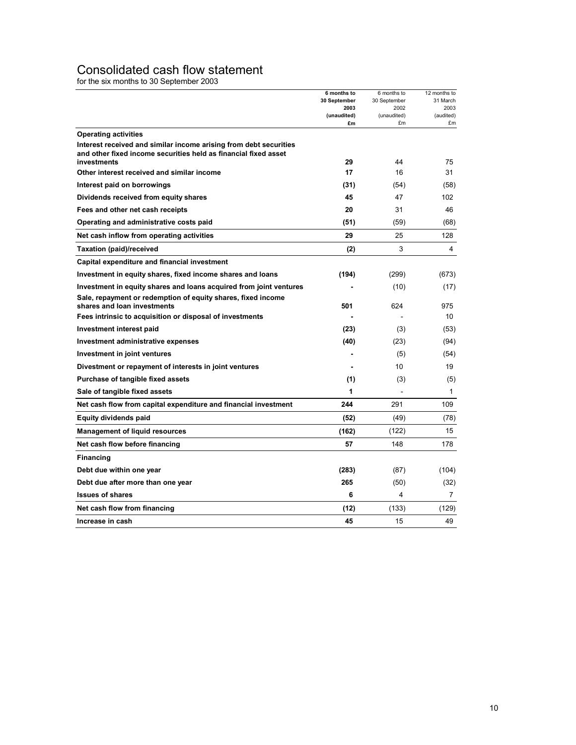### Consolidated cash flow statement

for the six months to 30 September 2003

|                                                                                                  | 6 months to<br>30 September<br>2003<br>(unaudited) | 6 months to<br>30 September<br>2002<br>(unaudited) | 12 months to<br>31 March<br>2003<br>(audited) |
|--------------------------------------------------------------------------------------------------|----------------------------------------------------|----------------------------------------------------|-----------------------------------------------|
|                                                                                                  | £m                                                 | £m                                                 | £m                                            |
| <b>Operating activities</b><br>Interest received and similar income arising from debt securities |                                                    |                                                    |                                               |
| and other fixed income securities held as financial fixed asset                                  |                                                    |                                                    |                                               |
| investments                                                                                      | 29                                                 | 44                                                 | 75                                            |
| Other interest received and similar income                                                       | 17                                                 | 16                                                 | 31                                            |
| Interest paid on borrowings                                                                      | (31)                                               | (54)                                               | (58)                                          |
| Dividends received from equity shares                                                            | 45                                                 | 47                                                 | 102                                           |
| Fees and other net cash receipts                                                                 | 20                                                 | 31                                                 | 46                                            |
| Operating and administrative costs paid                                                          | (51)                                               | (59)                                               | (68)                                          |
| Net cash inflow from operating activities                                                        | 29                                                 | 25                                                 | 128                                           |
| Taxation (paid)/received                                                                         | (2)                                                | 3                                                  | 4                                             |
| Capital expenditure and financial investment                                                     |                                                    |                                                    |                                               |
| Investment in equity shares, fixed income shares and loans                                       | (194)                                              | (299)                                              | (673)                                         |
| Investment in equity shares and loans acquired from joint ventures                               |                                                    | (10)                                               | (17)                                          |
| Sale, repayment or redemption of equity shares, fixed income<br>shares and loan investments      | 501                                                | 624                                                | 975                                           |
| Fees intrinsic to acquisition or disposal of investments                                         |                                                    |                                                    | 10                                            |
| Investment interest paid                                                                         | (23)                                               | (3)                                                | (53)                                          |
| Investment administrative expenses                                                               | (40)                                               | (23)                                               | (94)                                          |
| Investment in joint ventures                                                                     |                                                    | (5)                                                | (54)                                          |
| Divestment or repayment of interests in joint ventures                                           |                                                    | 10                                                 | 19                                            |
| Purchase of tangible fixed assets                                                                | (1)                                                | (3)                                                | (5)                                           |
| Sale of tangible fixed assets                                                                    | 1                                                  |                                                    | $\mathbf{1}$                                  |
| Net cash flow from capital expenditure and financial investment                                  | 244                                                | 291                                                | 109                                           |
| <b>Equity dividends paid</b>                                                                     | (52)                                               | (49)                                               | (78)                                          |
| <b>Management of liquid resources</b>                                                            | (162)                                              | (122)                                              | 15                                            |
| Net cash flow before financing                                                                   | 57                                                 | 148                                                | 178                                           |
| <b>Financing</b>                                                                                 |                                                    |                                                    |                                               |
| Debt due within one year                                                                         | (283)                                              | (87)                                               | (104)                                         |
| Debt due after more than one year                                                                | 265                                                | (50)                                               | (32)                                          |
| <b>Issues of shares</b>                                                                          | 6                                                  | 4                                                  | $\overline{7}$                                |
| Net cash flow from financing                                                                     | (12)                                               | (133)                                              | (129)                                         |
| Increase in cash                                                                                 | 45                                                 | 15                                                 | 49                                            |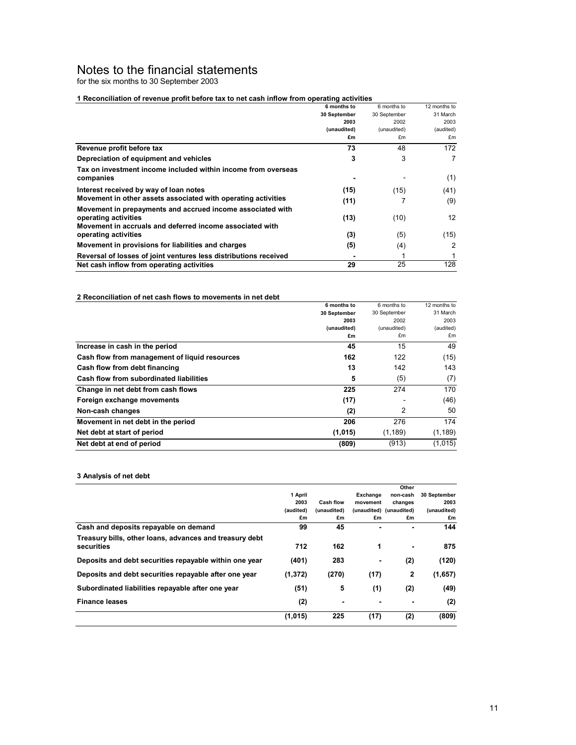### Notes to the financial statements

for the six months to 30 September 2003

#### **1 Reconciliation of revenue profit before tax to net cash inflow from operating activities**

|                                                                  | 6 months to  | 6 months to  | 12 months to      |
|------------------------------------------------------------------|--------------|--------------|-------------------|
|                                                                  | 30 September | 30 September | 31 March          |
|                                                                  | 2003         | 2002         | 2003              |
|                                                                  | (unaudited)  | (unaudited)  | (audited)         |
|                                                                  | £m           | £m           | £m                |
| Revenue profit before tax                                        | 73           | 48           | 172               |
| Depreciation of equipment and vehicles                           | 3            | 3            | 7                 |
| Tax on investment income included within income from overseas    |              |              |                   |
| companies                                                        |              |              | (1)               |
| Interest received by way of loan notes                           | (15)         | (15)         | (41)              |
| Movement in other assets associated with operating activities    | (11)         |              | (9)               |
| Movement in prepayments and accrued income associated with       |              |              |                   |
| operating activities                                             | (13)         | (10)         | $12 \overline{ }$ |
| Movement in accruals and deferred income associated with         |              |              |                   |
| operating activities                                             | (3)          | (5)          | (15)              |
| Movement in provisions for liabilities and charges               | (5)          | (4)          | 2                 |
| Reversal of losses of joint ventures less distributions received |              |              |                   |
| Net cash inflow from operating activities                        | 29           | 25           | 128               |

#### **2 Reconciliation of net cash flows to movements in net debt**

|                                               | 6 months to  | 6 months to  | 12 months to |
|-----------------------------------------------|--------------|--------------|--------------|
|                                               | 30 September | 30 September | 31 March     |
|                                               | 2003         | 2002         | 2003         |
|                                               | (unaudited)  | (unaudited)  | (audited)    |
|                                               | £m           | £m           | £m           |
| Increase in cash in the period                | 45           | 15           | 49           |
| Cash flow from management of liquid resources | 162          | 122          | (15)         |
| Cash flow from debt financing                 | 13           | 142          | 143          |
| Cash flow from subordinated liabilities       | 5            | (5)          | (7)          |
| Change in net debt from cash flows            | 225          | 274          | 170          |
| Foreign exchange movements                    | (17)         |              | (46)         |
| Non-cash changes                              | (2)          | 2            | 50           |
| Movement in net debt in the period            | 206          | 276          | 174          |
| Net debt at start of period                   | (1,015)      | (1, 189)     | (1, 189)     |
| Net debt at end of period                     | (809)        | (913)        | (1,015)      |

#### **3 Analysis of net debt**

|                                                                       |           |                  |          | Other                   |              |
|-----------------------------------------------------------------------|-----------|------------------|----------|-------------------------|--------------|
|                                                                       | 1 April   |                  | Exchange | non-cash                | 30 September |
|                                                                       | 2003      | <b>Cash flow</b> | movement | changes                 | 2003         |
|                                                                       | (audited) | (unaudited)      |          | (unaudited) (unaudited) | (unaudited)  |
|                                                                       | £m        | £m               | £m       | £m                      | £m           |
| Cash and deposits repayable on demand                                 | 99        | 45               |          |                         | 144          |
| Treasury bills, other loans, advances and treasury debt<br>securities | 712       | 162              | 1        |                         | 875          |
| Deposits and debt securities repayable within one year                | (401)     | 283              |          | (2)                     | (120)        |
| Deposits and debt securities repayable after one year                 | (1, 372)  | (270)            | (17)     | $\overline{2}$          | (1,657)      |
| Subordinated liabilities repayable after one year                     | (51)      | 5                | (1)      | (2)                     | (49)         |
| <b>Finance leases</b>                                                 | (2)       | $\blacksquare$   |          | $\blacksquare$          | (2)          |
|                                                                       | (1,015)   | 225              | (17)     | (2)                     | (809)        |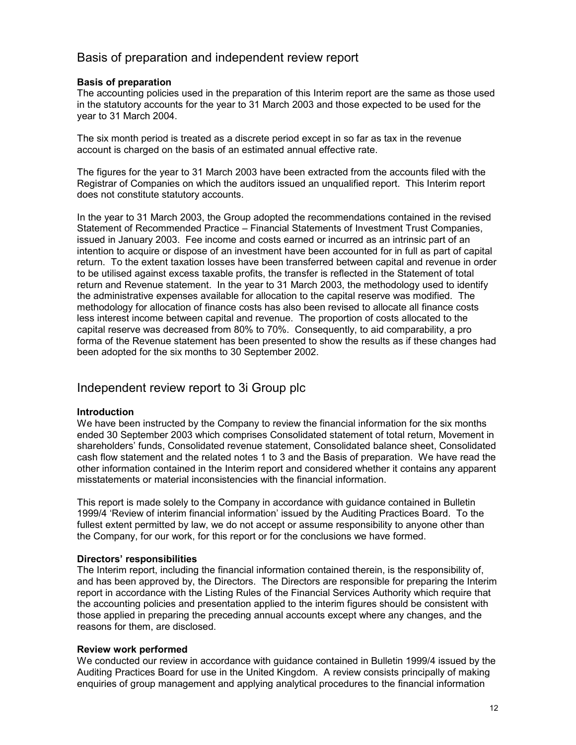### Basis of preparation and independent review report

### **Basis of preparation**

The accounting policies used in the preparation of this Interim report are the same as those used in the statutory accounts for the year to 31 March 2003 and those expected to be used for the year to 31 March 2004.

The six month period is treated as a discrete period except in so far as tax in the revenue account is charged on the basis of an estimated annual effective rate.

The figures for the year to 31 March 2003 have been extracted from the accounts filed with the Registrar of Companies on which the auditors issued an unqualified report. This Interim report does not constitute statutory accounts.

In the year to 31 March 2003, the Group adopted the recommendations contained in the revised Statement of Recommended Practice – Financial Statements of Investment Trust Companies, issued in January 2003. Fee income and costs earned or incurred as an intrinsic part of an intention to acquire or dispose of an investment have been accounted for in full as part of capital return. To the extent taxation losses have been transferred between capital and revenue in order to be utilised against excess taxable profits, the transfer is reflected in the Statement of total return and Revenue statement. In the year to 31 March 2003, the methodology used to identify the administrative expenses available for allocation to the capital reserve was modified. The methodology for allocation of finance costs has also been revised to allocate all finance costs less interest income between capital and revenue. The proportion of costs allocated to the capital reserve was decreased from 80% to 70%. Consequently, to aid comparability, a pro forma of the Revenue statement has been presented to show the results as if these changes had been adopted for the six months to 30 September 2002.

### Independent review report to 3i Group plc

#### **Introduction**

We have been instructed by the Company to review the financial information for the six months ended 30 September 2003 which comprises Consolidated statement of total return, Movement in shareholders' funds, Consolidated revenue statement, Consolidated balance sheet, Consolidated cash flow statement and the related notes 1 to 3 and the Basis of preparation. We have read the other information contained in the Interim report and considered whether it contains any apparent misstatements or material inconsistencies with the financial information.

This report is made solely to the Company in accordance with guidance contained in Bulletin 1999/4 'Review of interim financial information' issued by the Auditing Practices Board. To the fullest extent permitted by law, we do not accept or assume responsibility to anyone other than the Company, for our work, for this report or for the conclusions we have formed.

#### **Directors' responsibilities**

The Interim report, including the financial information contained therein, is the responsibility of, and has been approved by, the Directors. The Directors are responsible for preparing the Interim report in accordance with the Listing Rules of the Financial Services Authority which require that the accounting policies and presentation applied to the interim figures should be consistent with those applied in preparing the preceding annual accounts except where any changes, and the reasons for them, are disclosed.

#### **Review work performed**

We conducted our review in accordance with guidance contained in Bulletin 1999/4 issued by the Auditing Practices Board for use in the United Kingdom. A review consists principally of making enquiries of group management and applying analytical procedures to the financial information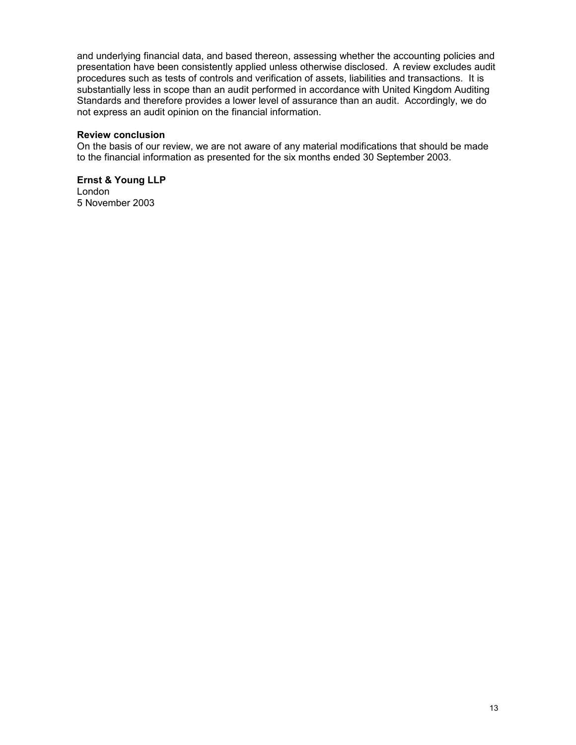and underlying financial data, and based thereon, assessing whether the accounting policies and presentation have been consistently applied unless otherwise disclosed. A review excludes audit procedures such as tests of controls and verification of assets, liabilities and transactions. It is substantially less in scope than an audit performed in accordance with United Kingdom Auditing Standards and therefore provides a lower level of assurance than an audit. Accordingly, we do not express an audit opinion on the financial information.

### **Review conclusion**

On the basis of our review, we are not aware of any material modifications that should be made to the financial information as presented for the six months ended 30 September 2003.

**Ernst & Young LLP**  London 5 November 2003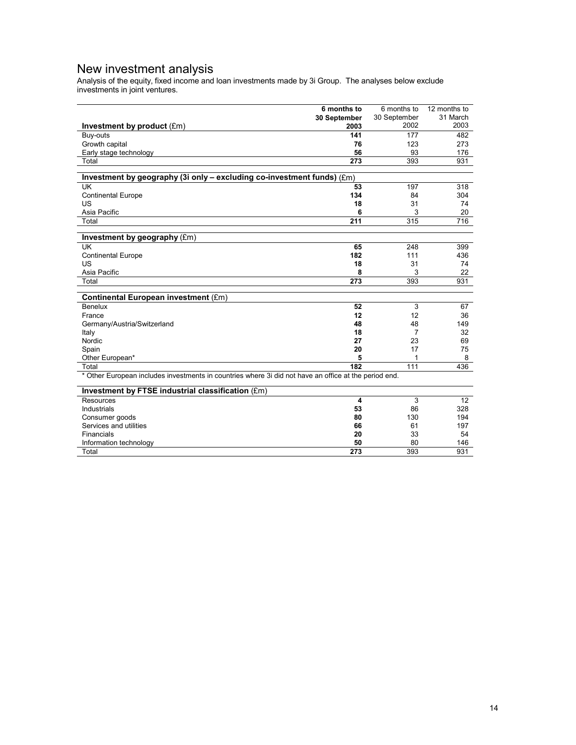### New investment analysis

Analysis of the equity, fixed income and loan investments made by 3i Group. The analyses below exclude investments in joint ventures.

|                                                                                                       | 6 months to  | 6 months to    | 12 months to |
|-------------------------------------------------------------------------------------------------------|--------------|----------------|--------------|
|                                                                                                       | 30 September | 30 September   | 31 March     |
| Investment by product (£m)                                                                            | 2003         | 2002           | 2003         |
| Buy-outs                                                                                              | 141          | 177            | 482          |
| Growth capital                                                                                        | 76           | 123            | 273          |
| Early stage technology                                                                                | 56           | 93             | 176          |
| Total                                                                                                 | 273          | 393            | 931          |
|                                                                                                       |              |                |              |
| Investment by geography (3i only - excluding co-investment funds) (£m)                                |              |                |              |
| UK                                                                                                    | 53           | 197            | 318          |
| <b>Continental Europe</b>                                                                             | 134          | 84             | 304          |
| US                                                                                                    | 18           | 31             | 74           |
| Asia Pacific                                                                                          | 6            | 3              | 20           |
| Total                                                                                                 | 211          | 315            | 716          |
|                                                                                                       |              |                |              |
| Investment by geography (£m)<br>UK                                                                    | 65           | 248            | 399          |
|                                                                                                       | 182          | 111            | 436          |
| <b>Continental Europe</b><br>US                                                                       | 18           | 31             |              |
| Asia Pacific                                                                                          | 8            | 3              | 74<br>22     |
|                                                                                                       | 273          | 393            |              |
| Total                                                                                                 |              |                | 931          |
| Continental European investment (£m)                                                                  |              |                |              |
| Benelux                                                                                               | 52           | 3              | 67           |
| France                                                                                                | 12           | 12             | 36           |
| Germany/Austria/Switzerland                                                                           | 48           | 48             | 149          |
| Italy                                                                                                 | 18           | $\overline{7}$ | 32           |
| Nordic                                                                                                | 27           | 23             | 69           |
| Spain                                                                                                 | 20           | 17             | 75           |
| Other European*                                                                                       | 5            |                | 8            |
| Total                                                                                                 | 182          | 111            | 436          |
| * Other European includes investments in countries where 3i did not have an office at the period end. |              |                |              |
| Investment by FTSE industrial classification (£m)                                                     |              |                |              |
| Resources                                                                                             | 4            | 3              | 12           |
| Industrials                                                                                           | 53           | 86             | 328          |
| Consumer goods                                                                                        | 80           | 130            | 194          |
| Services and utilities                                                                                | 66           | 61             | 197          |
| Financials                                                                                            | 20           | 33             | 54           |
| Information technology                                                                                | 50           | 80             | 146          |
| Total                                                                                                 | 273          | 393            | 931          |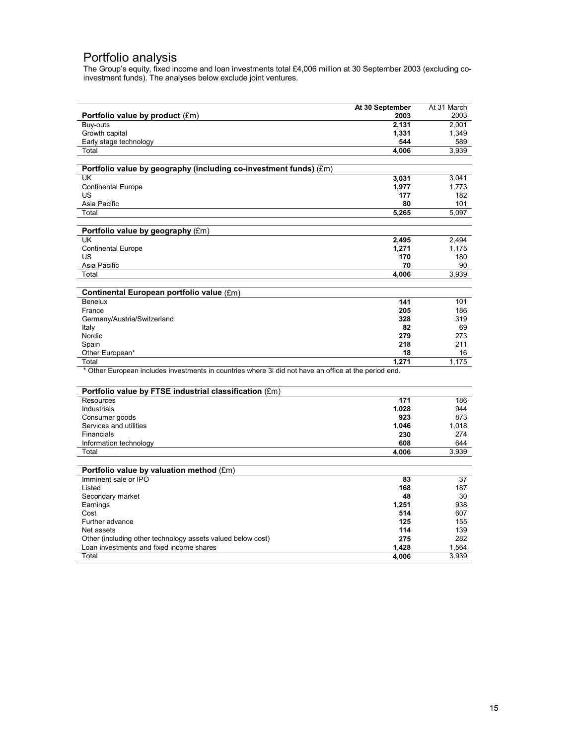### Portfolio analysis

The Group's equity, fixed income and loan investments total £4,006 million at 30 September 2003 (excluding coinvestment funds). The analyses below exclude joint ventures.

|                                                                                                                | At 30 September | At 31 March  |
|----------------------------------------------------------------------------------------------------------------|-----------------|--------------|
| Portfolio value by product $(\text{Em})$                                                                       | 2003            | 2003         |
| Buy-outs                                                                                                       | 2.131           | 2.001        |
| Growth capital                                                                                                 | 1,331           | 1,349        |
| Early stage technology                                                                                         | 544             | 589          |
| Total                                                                                                          | 4,006           | 3,939        |
|                                                                                                                |                 |              |
| Portfolio value by geography (including co-investment funds) (£m)                                              |                 |              |
| UK                                                                                                             | 3,031           | 3,041        |
| <b>Continental Europe</b>                                                                                      | 1,977           | 1,773        |
| US                                                                                                             | 177             | 182          |
| Asia Pacific                                                                                                   | 80              | 101          |
| Total                                                                                                          | 5,265           | 5,097        |
|                                                                                                                |                 |              |
| Portfolio value by geography (£m)                                                                              |                 |              |
| <b>UK</b>                                                                                                      | 2,495           | 2.494        |
| <b>Continental Europe</b>                                                                                      | 1,271           | 1,175        |
| US                                                                                                             | 170             | 180          |
| Asia Pacific                                                                                                   | 70              | 90           |
| Total                                                                                                          | 4,006           | 3,939        |
|                                                                                                                |                 |              |
| Continental European portfolio value (£m)                                                                      |                 |              |
| <b>Benelux</b>                                                                                                 | 141             | 101          |
| France                                                                                                         | 205             | 186          |
| Germany/Austria/Switzerland                                                                                    | 328             | 319          |
| Italy                                                                                                          | 82              | 69           |
| Nordic                                                                                                         | 279             | 273          |
| Spain                                                                                                          | 218             | 211          |
| Other European*                                                                                                | 18<br>1,271     | 16<br>1,175  |
| Total<br>* Other European includes investments in countries where 3i did not have an office at the period end. |                 |              |
|                                                                                                                |                 |              |
|                                                                                                                |                 |              |
| Portfolio value by FTSE industrial classification (£m)                                                         |                 |              |
| <b>Resources</b>                                                                                               | 171             | 186          |
| Industrials                                                                                                    | 1,028           | 944          |
| Consumer goods                                                                                                 | 923             | 873          |
| Services and utilities                                                                                         | 1,046<br>230    | 1,018<br>274 |
| Financials                                                                                                     | 608             |              |
| Information technology<br>Total                                                                                |                 | 644<br>3,939 |
|                                                                                                                | 4,006           |              |
| Portfolio value by valuation method (£m)                                                                       |                 |              |
| Imminent sale or IPO                                                                                           | 83              | 37           |
| Listed                                                                                                         | 168             | 187          |
| Secondary market                                                                                               | 48              | 30           |
| Earnings                                                                                                       | 1,251           | 938          |
| Cost                                                                                                           | 514             | 607          |
| Further advance                                                                                                | 125             | 155          |
| Net assets                                                                                                     | 114             | 139          |
| Other (including other technology assets valued below cost)                                                    | 275             | 282          |
| Loan investments and fixed income shares                                                                       | 1,428           | 1,564        |
| Total                                                                                                          | 4,006           | 3,939        |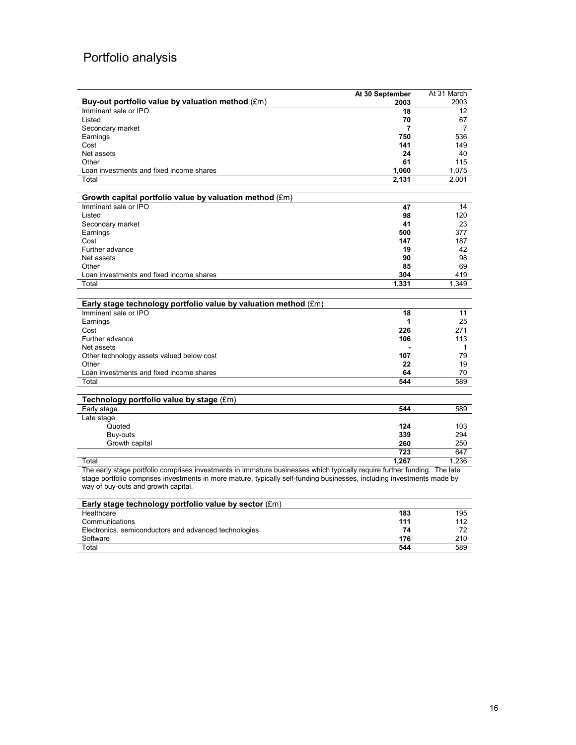# Portfolio analysis

|                                                                                                                                                                                                                                                                                           | At 30 September  | At 31 March  |
|-------------------------------------------------------------------------------------------------------------------------------------------------------------------------------------------------------------------------------------------------------------------------------------------|------------------|--------------|
| Buy-out portfolio value by valuation method (£m)                                                                                                                                                                                                                                          | 2003             | 2003         |
| Imminent sale or IPO                                                                                                                                                                                                                                                                      | 18               | 12           |
| Listed                                                                                                                                                                                                                                                                                    | 70               | 67           |
| Secondary market                                                                                                                                                                                                                                                                          | 7                | 7            |
| Earnings                                                                                                                                                                                                                                                                                  | 750              | 536          |
| Cost                                                                                                                                                                                                                                                                                      | 141              | 149          |
| Net assets                                                                                                                                                                                                                                                                                | 24               | 40           |
| Other                                                                                                                                                                                                                                                                                     | 61               | 115          |
| Loan investments and fixed income shares                                                                                                                                                                                                                                                  | 1,060            | 1,075        |
| Total                                                                                                                                                                                                                                                                                     | 2,131            | 2,001        |
|                                                                                                                                                                                                                                                                                           |                  |              |
| Growth capital portfolio value by valuation method (£m)                                                                                                                                                                                                                                   |                  |              |
| Imminent sale or IPO                                                                                                                                                                                                                                                                      | 47               | 14           |
| Listed                                                                                                                                                                                                                                                                                    | 98               | 120          |
| Secondary market                                                                                                                                                                                                                                                                          | 41               | 23           |
| Earnings                                                                                                                                                                                                                                                                                  | 500              | 377          |
| Cost                                                                                                                                                                                                                                                                                      | 147              | 187          |
| Further advance                                                                                                                                                                                                                                                                           | 19               | 42           |
| Net assets                                                                                                                                                                                                                                                                                | 90               | 98           |
| Other                                                                                                                                                                                                                                                                                     | 85               | 69           |
| Loan investments and fixed income shares                                                                                                                                                                                                                                                  | 304              | 419          |
| Total                                                                                                                                                                                                                                                                                     | 1,331            | 1,349        |
|                                                                                                                                                                                                                                                                                           |                  |              |
| Early stage technology portfolio value by valuation method (£m)                                                                                                                                                                                                                           |                  |              |
| Imminent sale or IPO                                                                                                                                                                                                                                                                      | 18               | 11           |
| Earnings                                                                                                                                                                                                                                                                                  | 1                | 25           |
| Cost                                                                                                                                                                                                                                                                                      | 226              | 271          |
| Further advance                                                                                                                                                                                                                                                                           | 106              | 113          |
| Net assets                                                                                                                                                                                                                                                                                |                  | $\mathbf{1}$ |
| Other technology assets valued below cost                                                                                                                                                                                                                                                 | 107              | 79           |
| Other                                                                                                                                                                                                                                                                                     | 22               | 19           |
| Loan investments and fixed income shares                                                                                                                                                                                                                                                  | 64               | 70           |
| Total                                                                                                                                                                                                                                                                                     | 544              | 589          |
|                                                                                                                                                                                                                                                                                           |                  |              |
| Technology portfolio value by stage (£m)                                                                                                                                                                                                                                                  |                  |              |
| Early stage                                                                                                                                                                                                                                                                               | 544              | 589          |
| Late stage                                                                                                                                                                                                                                                                                |                  |              |
| Quoted                                                                                                                                                                                                                                                                                    | 124              | 103          |
| Buy-outs                                                                                                                                                                                                                                                                                  | 339              | 294          |
| Growth capital                                                                                                                                                                                                                                                                            | 260              | 250          |
|                                                                                                                                                                                                                                                                                           | 723              | 647          |
| Total                                                                                                                                                                                                                                                                                     | 1.267            | 1.236        |
| The early stage portfolio comprises investments in immature businesses which typically require further funding. The late<br>stage portfolio comprises investments in more mature, typically self-funding businesses, including investments made by<br>way of buy-outs and growth capital. |                  |              |
| Early stage technology portfolio value by sector (£m)                                                                                                                                                                                                                                     |                  |              |
|                                                                                                                                                                                                                                                                                           | $\overline{100}$ |              |

| 183 | 195 |
|-----|-----|
| 111 | 112 |
| 74  | 72  |
| 176 | 210 |
| 544 | 589 |
|     |     |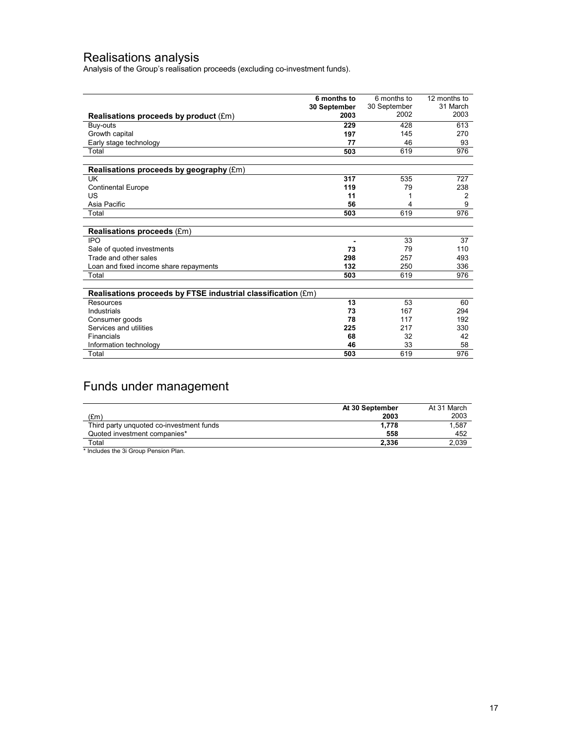### Realisations analysis

Analysis of the Group's realisation proceeds (excluding co-investment funds).

|                                                              | 6 months to  | 6 months to  | 12 months to   |
|--------------------------------------------------------------|--------------|--------------|----------------|
|                                                              | 30 September | 30 September | 31 March       |
| Realisations proceeds by product (£m)                        | 2003         | 2002         | 2003           |
| Buy-outs                                                     | 229          | 428          | 613            |
| Growth capital                                               | 197          | 145          | 270            |
| Early stage technology                                       | 77           | 46           | 93             |
| Total                                                        | 503          | 619          | 976            |
| Realisations proceeds by geography (£m)                      |              |              |                |
| UK                                                           | 317          | 535          | 727            |
| <b>Continental Europe</b>                                    | 119          | 79           | 238            |
| US                                                           | 11           |              | $\overline{2}$ |
| Asia Pacific                                                 | 56           | 4            | 9              |
| Total                                                        | 503          | 619          | 976            |
|                                                              |              |              |                |
| <b>Realisations proceeds (£m)</b>                            |              |              |                |
| <b>IPO</b>                                                   |              | 33           | 37             |
| Sale of quoted investments                                   | 73           | 79           | 110            |
| Trade and other sales                                        | 298          | 257          | 493            |
| Loan and fixed income share repayments                       | 132          | 250          | 336            |
| Total                                                        | 503          | 619          | 976            |
| Realisations proceeds by FTSE industrial classification (£m) |              |              |                |
| Resources                                                    | 13           | 53           | 60             |
| Industrials                                                  | 73           | 167          | 294            |
| Consumer goods                                               | 78           | 117          | 192            |
| Services and utilities                                       | 225          | 217          | 330            |
| Financials                                                   | 68           | 32           | 42             |
| Information technology                                       | 46           | 33           | 58             |
| Total                                                        | 503          | 619          | 976            |

# Funds under management

|                                          | At 30 September | At 31 March |
|------------------------------------------|-----------------|-------------|
| (£m)                                     | 2003            | 2003        |
| Third party unquoted co-investment funds | 1.778           | 1.587       |
| Quoted investment companies*             | 558             | 452         |
| Total                                    | 2.336           | 2,039       |

\* Includes the 3i Group Pension Plan.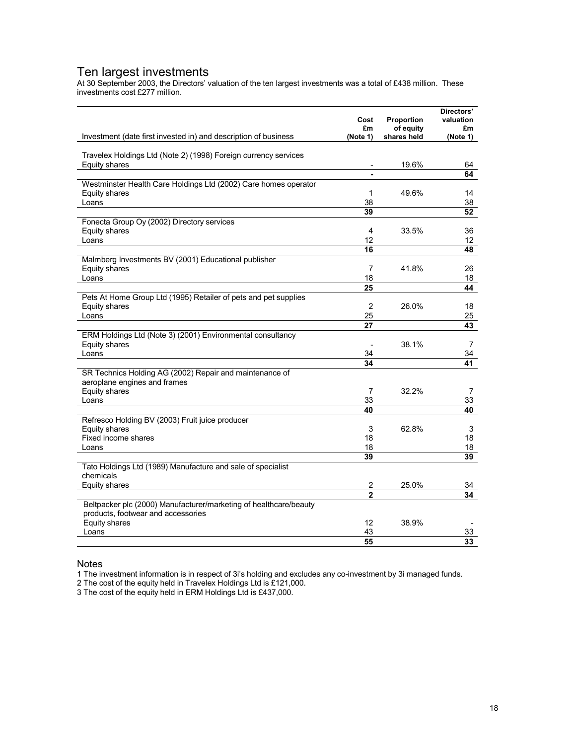### Ten largest investments

At 30 September 2003, the Directors' valuation of the ten largest investments was a total of £438 million. These investments cost £277 million.

|                                                                                                         | Cost<br>£m     | Proportion<br>of equity | Directors'<br>valuation<br>£m |
|---------------------------------------------------------------------------------------------------------|----------------|-------------------------|-------------------------------|
| Investment (date first invested in) and description of business                                         | (Note 1)       | shares held             | (Note 1)                      |
| Travelex Holdings Ltd (Note 2) (1998) Foreign currency services                                         |                |                         |                               |
| <b>Equity shares</b>                                                                                    |                | 19.6%                   | 64<br>64                      |
| Westminster Health Care Holdings Ltd (2002) Care homes operator                                         |                |                         |                               |
| Equity shares                                                                                           | 1              | 49.6%                   | 14                            |
| Loans                                                                                                   | 38             |                         | 38                            |
|                                                                                                         | 39             |                         | 52                            |
| Fonecta Group Oy (2002) Directory services                                                              |                |                         |                               |
| <b>Equity shares</b>                                                                                    | $\overline{4}$ | 33.5%                   | 36                            |
| Loans                                                                                                   | 12             |                         | 12                            |
|                                                                                                         | 16             |                         | 48                            |
| Malmberg Investments BV (2001) Educational publisher<br>Equity shares                                   | 7              | 41.8%                   | 26                            |
| Loans                                                                                                   | 18             |                         | 18                            |
|                                                                                                         | 25             |                         | 44                            |
| Pets At Home Group Ltd (1995) Retailer of pets and pet supplies                                         |                |                         |                               |
| Equity shares                                                                                           | $\overline{2}$ | 26.0%                   | 18                            |
| Loans                                                                                                   | 25             |                         | 25                            |
|                                                                                                         | 27             |                         | 43                            |
| ERM Holdings Ltd (Note 3) (2001) Environmental consultancy                                              |                |                         |                               |
| Equity shares                                                                                           |                | 38.1%                   | 7                             |
| Loans                                                                                                   | 34             |                         | 34                            |
|                                                                                                         | 34             |                         | 41                            |
| SR Technics Holding AG (2002) Repair and maintenance of<br>aeroplane engines and frames                 |                |                         |                               |
| Equity shares                                                                                           | $\overline{7}$ | 32.2%                   | 7                             |
| Loans                                                                                                   | 33             |                         | 33                            |
|                                                                                                         | 40             |                         | 40                            |
| Refresco Holding BV (2003) Fruit juice producer                                                         |                |                         |                               |
| Equity shares                                                                                           | 3              | 62.8%                   | 3                             |
| Fixed income shares                                                                                     | 18             |                         | 18                            |
| Loans                                                                                                   | 18             |                         | 18                            |
|                                                                                                         | 39             |                         | 39                            |
| Tato Holdings Ltd (1989) Manufacture and sale of specialist<br>chemicals                                |                |                         |                               |
| <b>Equity shares</b>                                                                                    | 2              | 25.0%                   | 34                            |
|                                                                                                         | $\mathbf{2}$   |                         | 34                            |
| Beltpacker plc (2000) Manufacturer/marketing of healthcare/beauty<br>products, footwear and accessories |                |                         |                               |
| Equity shares                                                                                           | 12             | 38.9%                   |                               |
| Loans                                                                                                   | 43             |                         | 33                            |
|                                                                                                         | 55             |                         | 33                            |

#### Notes

1 The investment information is in respect of 3i's holding and excludes any co-investment by 3i managed funds.

2 The cost of the equity held in Travelex Holdings Ltd is £121,000.

3 The cost of the equity held in ERM Holdings Ltd is £437,000.